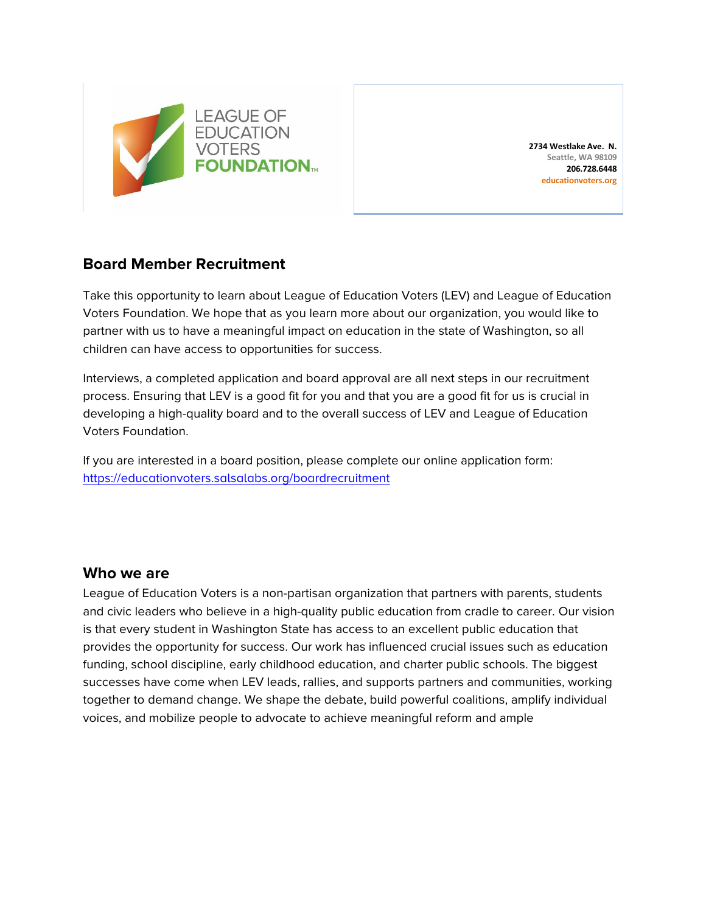

**2734 Westlake Ave. N. Seattle, WA 98109 206.728.6448 educationvoters.org**

### **Board Member Recruitment**

Take this opportunity to learn about League of Education Voters (LEV) and League of Education Voters Foundation. We hope that as you learn more about our organization, you would like to partner with us to have a meaningful impact on education in the state of Washington, so all children can have access to opportunities for success.

Interviews, a completed application and board approval are all next steps in our recruitment process. Ensuring that LEV is a good fit for you and that you are a good fit for us is crucial in developing a high-quality board and to the overall success of LEV and League of Education Voters Foundation.

If you are interested in a board position, please complete our online application form: <https://educationvoters.salsalabs.org/boardrecruitment>

### **Who we are**

League of Education Voters is a non-partisan organization that partners with parents, students and civic leaders who believe in a high-quality public education from cradle to career. Our vision is that every student in Washington State has access to an excellent public education that provides the opportunity for success. Our work has influenced crucial issues such as education funding, school discipline, early childhood education, and charter public schools. The biggest successes have come when LEV leads, rallies, and supports partners and communities, working together to demand change. We shape the debate, build powerful coalitions, amplify individual voices, and mobilize people to advocate to achieve meaningful reform and ample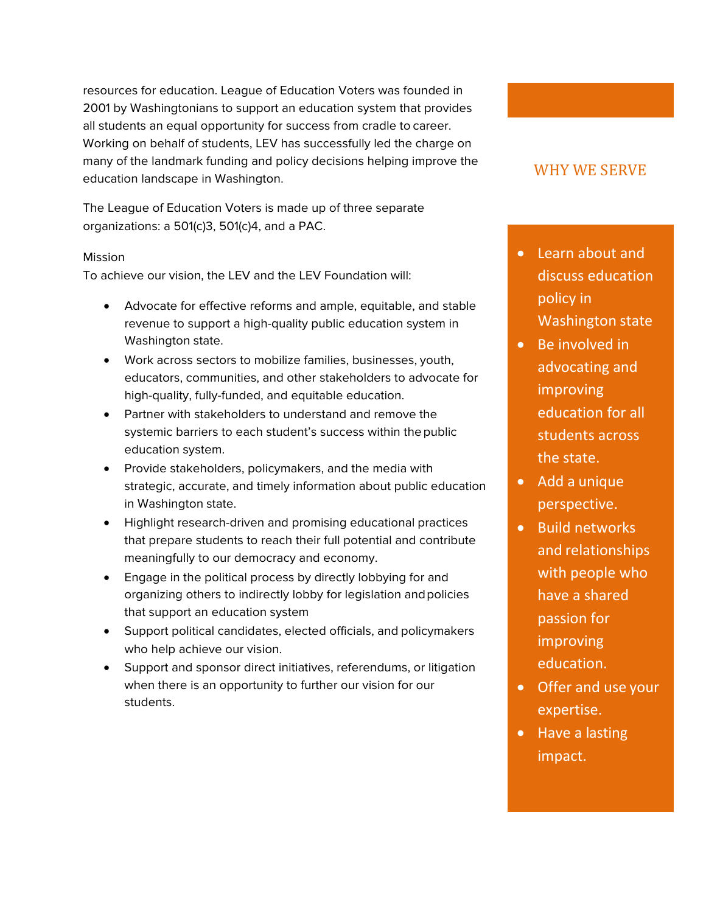resources for education. League of Education Voters was founded in 2001 by Washingtonians to support an education system that provides all students an equal opportunity for success from cradle to career. Working on behalf of students, LEV has successfully led the charge on many of the landmark funding and policy decisions helping improve the education landscape in Washington.

The League of Education Voters is made up of three separate organizations: a 501(c)3, 501(c)4, and a PAC.

#### Mission

To achieve our vision, the LEV and the LEV Foundation will:

- Advocate for effective reforms and ample, equitable, and stable revenue to support a high-quality public education system in Washington state.
- Work across sectors to mobilize families, businesses, youth, educators, communities, and other stakeholders to advocate for high-quality, fully-funded, and equitable education.
- Partner with stakeholders to understand and remove the systemic barriers to each student's success within the public education system.
- Provide stakeholders, policymakers, and the media with strategic, accurate, and timely information about public education in Washington state.
- Highlight research-driven and promising educational practices that prepare students to reach their full potential and contribute meaningfully to our democracy and economy.
- Engage in the political process by directly lobbying for and organizing others to indirectly lobby for legislation andpolicies that support an education system
- Support political candidates, elected officials, and policymakers who help achieve our vision.
- Support and sponsor direct initiatives, referendums, or litigation when there is an opportunity to further our vision for our students.

## WHY WE SERVE

- Learn about and discuss education policy in Washington state
- Be involved in advocating and improving education for all students across the state.
- Add a unique perspective.
- Build networks and relationships with people who have a shared passion for improving education.
- Offer and use your expertise.
- Have a lasting impact.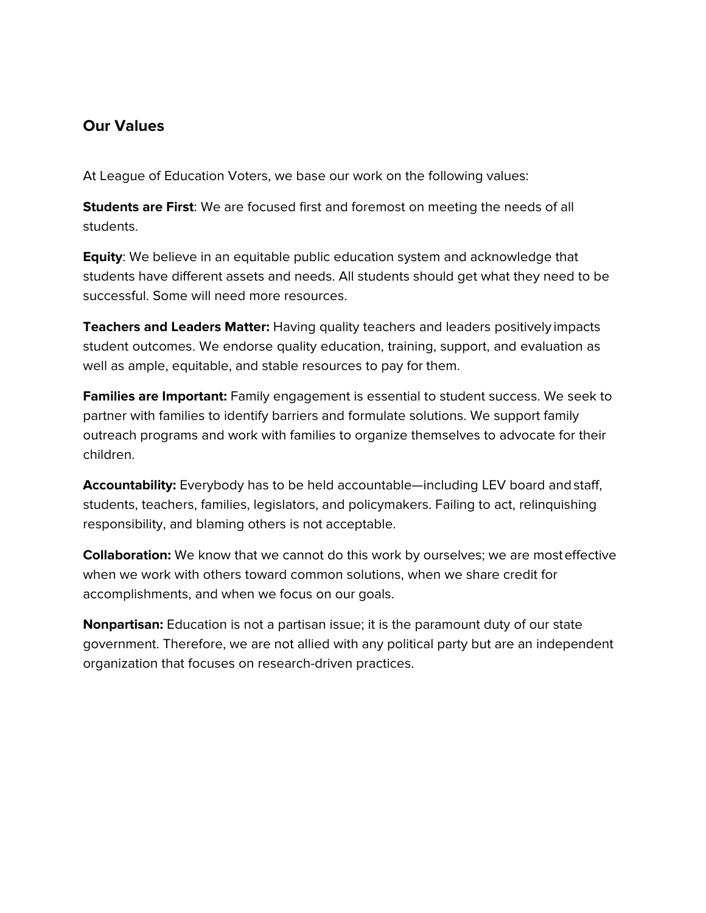## **Our Values**

At League of Education Voters, we base our work on the following values:

**Students are First**: We are focused first and foremost on meeting the needs of all students.

**Equity**: We believe in an equitable public education system and acknowledge that students have different assets and needs. All students should get what they need to be successful. Some will need more resources.

**Teachers and Leaders Matter:** Having quality teachers and leaders positively impacts student outcomes. We endorse quality education, training, support, and evaluation as well as ample, equitable, and stable resources to pay for them.

**Families are Important:** Family engagement is essential to student success. We seek to partner with families to identify barriers and formulate solutions. We support family outreach programs and work with families to organize themselves to advocate for their children.

**Accountability:** Everybody has to be held accountable—including LEV board andstaff, students, teachers, families, legislators, and policymakers. Failing to act, relinquishing responsibility, and blaming others is not acceptable.

**Collaboration:** We know that we cannot do this work by ourselves; we are mosteffective when we work with others toward common solutions, when we share credit for accomplishments, and when we focus on our goals.

**Nonpartisan:** Education is not a partisan issue; it is the paramount duty of our state government. Therefore, we are not allied with any political party but are an independent organization that focuses on research-driven practices.